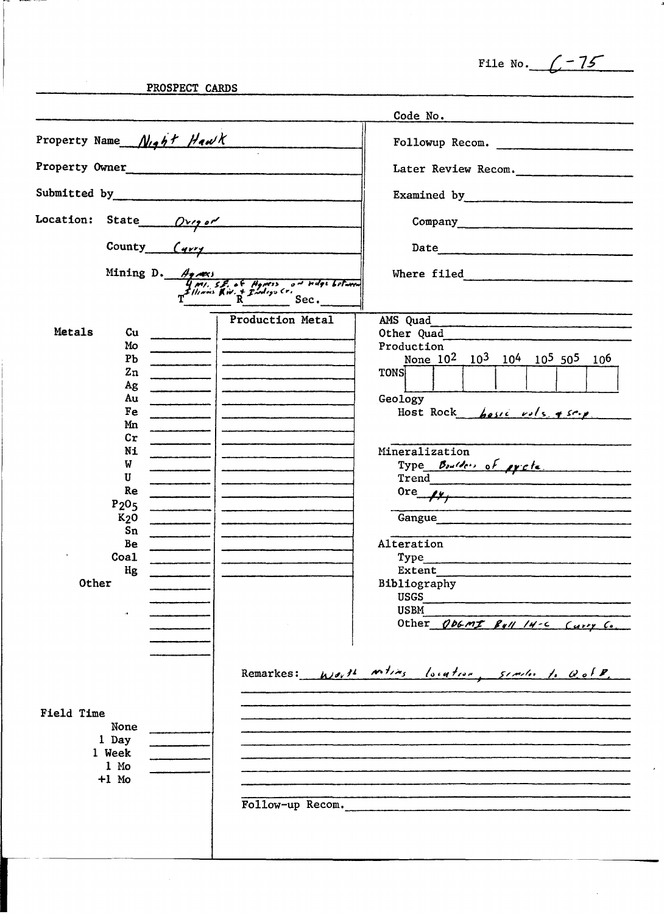File No.  $\sqrt{-75}$ 

J.

 $\mathcal{A}^{\mathcal{A}}$ 

PROSPECT CARDS

 $\mathcal{A}^{\mathcal{A}}$ 

|                               |                            |  |                                                                                                          | Code No.                                                                                                                                                                                                                       |
|-------------------------------|----------------------------|--|----------------------------------------------------------------------------------------------------------|--------------------------------------------------------------------------------------------------------------------------------------------------------------------------------------------------------------------------------|
| Property Name Night Hawk      |                            |  |                                                                                                          | Followup Recom.                                                                                                                                                                                                                |
| Property Owner                |                            |  |                                                                                                          | Later Review Recom.                                                                                                                                                                                                            |
| Submitted by                  |                            |  |                                                                                                          | Examined by The Common Common Common Common Common Common Common Common Common Common Common Common Common Common Common Common Common Common Common Common Common Common Common Common Common Common Common Common Common Com |
| Location: State $Ov\gamma$ or |                            |  |                                                                                                          |                                                                                                                                                                                                                                |
|                               |                            |  |                                                                                                          | Date                                                                                                                                                                                                                           |
|                               |                            |  | Mining D. Agnes<br>Unit, S.E. of Agness on ridge between<br>$T^{2$ llinous Riv. + Prodige Cr.<br>R. Sec. | Where filed                                                                                                                                                                                                                    |
|                               |                            |  | <b>Production Metal</b>                                                                                  | AMS Quad                                                                                                                                                                                                                       |
| Metals                        | Cu                         |  |                                                                                                          | Other Quad                                                                                                                                                                                                                     |
|                               | Mo                         |  |                                                                                                          | Production                                                                                                                                                                                                                     |
|                               | P <sub>b</sub>             |  |                                                                                                          | None 10 <sup>2</sup> 10 <sup>3</sup> 10 <sup>4</sup> 10 <sup>5</sup> 50 <sup>5</sup> 10 <sup>6</sup>                                                                                                                           |
|                               | Zn                         |  |                                                                                                          | <b>TONS</b>                                                                                                                                                                                                                    |
|                               | Ag                         |  |                                                                                                          |                                                                                                                                                                                                                                |
|                               | Au<br>Fe                   |  |                                                                                                          | Geology                                                                                                                                                                                                                        |
|                               | Mn                         |  |                                                                                                          | Host Rock host vols & serp.                                                                                                                                                                                                    |
|                               | $\mathop{\rm Cr}\nolimits$ |  |                                                                                                          |                                                                                                                                                                                                                                |
|                               | Ni                         |  |                                                                                                          | Mineralization                                                                                                                                                                                                                 |
|                               | W                          |  |                                                                                                          | Type Boulders of existe                                                                                                                                                                                                        |
|                               | U                          |  |                                                                                                          | Trend                                                                                                                                                                                                                          |
|                               | Re                         |  |                                                                                                          | $0r$ e $\mu$                                                                                                                                                                                                                   |
|                               | P <sub>205</sub>           |  |                                                                                                          |                                                                                                                                                                                                                                |
|                               | $K2$ O                     |  |                                                                                                          | Gangue                                                                                                                                                                                                                         |
|                               | Sn<br>Be                   |  |                                                                                                          | Alteration                                                                                                                                                                                                                     |
| $\,$                          | Coa1                       |  |                                                                                                          | Type                                                                                                                                                                                                                           |
|                               | Hg                         |  |                                                                                                          | Extent                                                                                                                                                                                                                         |
| Other                         |                            |  |                                                                                                          | Bibliography                                                                                                                                                                                                                   |
|                               |                            |  |                                                                                                          | <b>USGS</b>                                                                                                                                                                                                                    |
|                               |                            |  |                                                                                                          | <b>USBM</b>                                                                                                                                                                                                                    |
|                               |                            |  |                                                                                                          | Other ODGMI Byll 14-C Curry Co.                                                                                                                                                                                                |
|                               |                            |  |                                                                                                          |                                                                                                                                                                                                                                |
|                               |                            |  |                                                                                                          |                                                                                                                                                                                                                                |
|                               |                            |  |                                                                                                          | Remarkes: Worth witing location, similar to Gold.                                                                                                                                                                              |
|                               |                            |  |                                                                                                          |                                                                                                                                                                                                                                |
| Field Time                    |                            |  |                                                                                                          |                                                                                                                                                                                                                                |
|                               | None                       |  |                                                                                                          |                                                                                                                                                                                                                                |
|                               | 1 Day                      |  |                                                                                                          |                                                                                                                                                                                                                                |
|                               | 1 Week                     |  |                                                                                                          |                                                                                                                                                                                                                                |
|                               | 1 Mo<br>$+1$ Mo            |  |                                                                                                          |                                                                                                                                                                                                                                |
|                               |                            |  |                                                                                                          |                                                                                                                                                                                                                                |
|                               |                            |  | Follow-up Recom.                                                                                         |                                                                                                                                                                                                                                |
|                               |                            |  |                                                                                                          |                                                                                                                                                                                                                                |
|                               |                            |  |                                                                                                          |                                                                                                                                                                                                                                |
|                               |                            |  |                                                                                                          |                                                                                                                                                                                                                                |